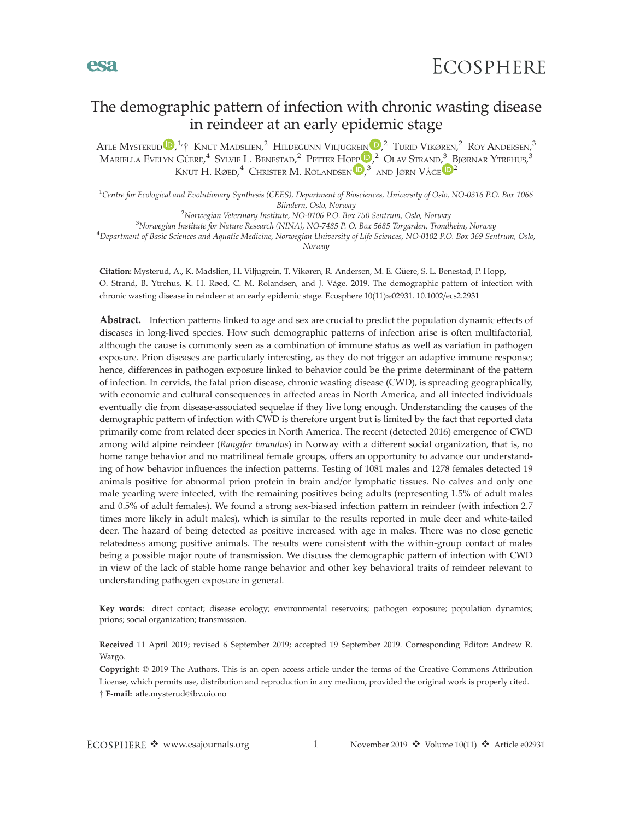# The demographic pattern of infection with chronic wasting disease in reindeer at an early epidemic stage

Atle Mysterud  $\mathbb{D},^{1,+}$  Knut Madslien, $^{2}$  Hildegunn Viljugrein  $\mathbb{D},^{2}$  Turid Vikøren, $^{2}$  Roy Andersen, $^{3}$ Mariella Evelyn Güere, $^4\,$  Sylvie L. Benestad, $^2\,$  $^2\,$  $^2\,$  Petter Hopp $^{[{\bf D}]_2^{\,2}}\,$  Olav Strand, $^3\,$  Bjørnar Ytrehus, $^3\,$ Knut H. Røed, $^4$  Christer M. Rolandsen  $\mathbb{D},^3$  $\mathbb{D},^3$  and Jørn Våge  $\mathbb{D}^2$ 

<sup>1</sup>Centre for Ecological and Evolutionary Synthesis (CEES), Department of Biosciences, University of Oslo, NO-0316 P.O. Box 1066 Blindern, Oslo, Norway<br><sup>2</sup>Norwegian Veteringry Institute, NO-0106 P.O. Box

Norwegian Veterinary Institute, NO-0106 P.O. Box 750 Sentrum, Oslo, Norway <sup>3</sup>Norwegian Institute for Nature Research (NIN14), NO 7485 P.O. Box 5685 Torograden, Troudi <sup>3</sup>Norwegian Institute for Nature Research (NINA), NO-7485 P. O. Box 5685 Torgarden, Trondheim, Norway  $^4$ Department of Basic Sciences and Aquatic Medicine, Norwegian University of Life Sciences, NO-0102 P.O. Box 369 Sentrum, Oslo, Norway

Citation: Mysterud, A., K. Madslien, H. Viljugrein, T. Vikøren, R. Andersen, M. E. Güere, S. L. Benestad, P. Hopp, O. Strand, B. Ytrehus, K. H. Røed, C. M. Rolandsen, and J. Våge. 2019. The demographic pattern of infection with chronic wasting disease in reindeer at an early epidemic stage. Ecosphere 10(11):e02931. [10.1002/ecs2.2931](info:doi/10.1002/ecs2.2931)

Abstract. Infection patterns linked to age and sex are crucial to predict the population dynamic effects of diseases in long-lived species. How such demographic patterns of infection arise is often multifactorial, although the cause is commonly seen as a combination of immune status as well as variation in pathogen exposure. Prion diseases are particularly interesting, as they do not trigger an adaptive immune response; hence, differences in pathogen exposure linked to behavior could be the prime determinant of the pattern of infection. In cervids, the fatal prion disease, chronic wasting disease (CWD), is spreading geographically, with economic and cultural consequences in affected areas in North America, and all infected individuals eventually die from disease-associated sequelae if they live long enough. Understanding the causes of the demographic pattern of infection with CWD is therefore urgent but is limited by the fact that reported data primarily come from related deer species in North America. The recent (detected 2016) emergence of CWD among wild alpine reindeer (Rangifer tarandus) in Norway with a different social organization, that is, no home range behavior and no matrilineal female groups, offers an opportunity to advance our understanding of how behavior influences the infection patterns. Testing of 1081 males and 1278 females detected 19 animals positive for abnormal prion protein in brain and/or lymphatic tissues. No calves and only one male yearling were infected, with the remaining positives being adults (representing 1.5% of adult males and 0.5% of adult females). We found a strong sex-biased infection pattern in reindeer (with infection 2.7 times more likely in adult males), which is similar to the results reported in mule deer and white-tailed deer. The hazard of being detected as positive increased with age in males. There was no close genetic relatedness among positive animals. The results were consistent with the within-group contact of males being a possible major route of transmission. We discuss the demographic pattern of infection with CWD in view of the lack of stable home range behavior and other key behavioral traits of reindeer relevant to understanding pathogen exposure in general.

Key words: direct contact; disease ecology; environmental reservoirs; pathogen exposure; population dynamics; prions; social organization; transmission.

Received 11 April 2019; revised 6 September 2019; accepted 19 September 2019. Corresponding Editor: Andrew R. Wargo.

Copyright: © 2019 The Authors. This is an open access article under the terms of the Creative Commons Attribution License, which permits use, distribution and reproduction in any medium, provided the original work is properly cited. E-mail: atle.mysterud@ibv.uio.no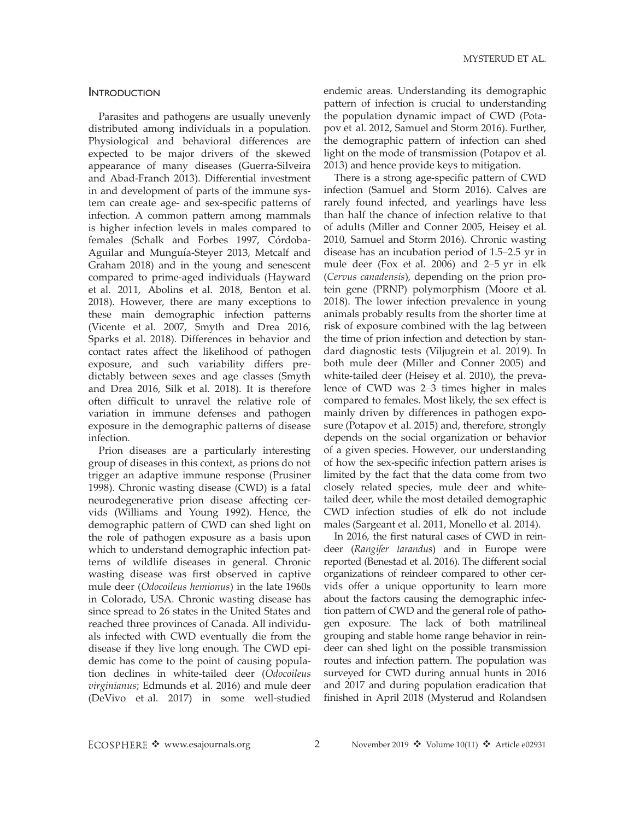### INTRODUCTION

Parasites and pathogens are usually unevenly distributed among individuals in a population. Physiological and behavioral differences are expected to be major drivers of the skewed appearance of many diseases (Guerra-Silveira and Abad-Franch 2013). Differential investment in and development of parts of the immune system can create age- and sex-specific patterns of infection. A common pattern among mammals is higher infection levels in males compared to females (Schalk and Forbes 1997, Córdoba-Aguilar and Munguía-Steyer 2013, Metcalf and Graham 2018) and in the young and senescent compared to prime-aged individuals (Hayward et al. 2011, Abolins et al. 2018, Benton et al. 2018). However, there are many exceptions to these main demographic infection patterns (Vicente et al. 2007, Smyth and Drea 2016, Sparks et al. 2018). Differences in behavior and contact rates affect the likelihood of pathogen exposure, and such variability differs predictably between sexes and age classes (Smyth and Drea 2016, Silk et al. 2018). It is therefore often difficult to unravel the relative role of variation in immune defenses and pathogen exposure in the demographic patterns of disease infection.

Prion diseases are a particularly interesting group of diseases in this context, as prions do not trigger an adaptive immune response (Prusiner 1998). Chronic wasting disease (CWD) is a fatal neurodegenerative prion disease affecting cervids (Williams and Young 1992). Hence, the demographic pattern of CWD can shed light on the role of pathogen exposure as a basis upon which to understand demographic infection patterns of wildlife diseases in general. Chronic wasting disease was first observed in captive mule deer (Odocoileus hemionus) in the late 1960s in Colorado, USA. Chronic wasting disease has since spread to 26 states in the United States and reached three provinces of Canada. All individuals infected with CWD eventually die from the disease if they live long enough. The CWD epidemic has come to the point of causing population declines in white-tailed deer (Odocoileus virginianus; Edmunds et al. 2016) and mule deer (DeVivo et al. 2017) in some well-studied

endemic areas. Understanding its demographic pattern of infection is crucial to understanding the population dynamic impact of CWD (Potapov et al. 2012, Samuel and Storm 2016). Further, the demographic pattern of infection can shed light on the mode of transmission (Potapov et al. 2013) and hence provide keys to mitigation.

There is a strong age-specific pattern of CWD infection (Samuel and Storm 2016). Calves are rarely found infected, and yearlings have less than half the chance of infection relative to that of adults (Miller and Conner 2005, Heisey et al. 2010, Samuel and Storm 2016). Chronic wasting disease has an incubation period of 1.5–2.5 yr in mule deer (Fox et al. 2006) and 2–5 yr in elk (Cervus canadensis), depending on the prion protein gene (PRNP) polymorphism (Moore et al. 2018). The lower infection prevalence in young animals probably results from the shorter time at risk of exposure combined with the lag between the time of prion infection and detection by standard diagnostic tests (Viljugrein et al. 2019). In both mule deer (Miller and Conner 2005) and white-tailed deer (Heisey et al. 2010), the prevalence of CWD was 2–3 times higher in males compared to females. Most likely, the sex effect is mainly driven by differences in pathogen exposure (Potapov et al. 2015) and, therefore, strongly depends on the social organization or behavior of a given species. However, our understanding of how the sex-specific infection pattern arises is limited by the fact that the data come from two closely related species, mule deer and whitetailed deer, while the most detailed demographic CWD infection studies of elk do not include males (Sargeant et al. 2011, Monello et al. 2014).

In 2016, the first natural cases of CWD in reindeer (Rangifer tarandus) and in Europe were reported (Benestad et al. 2016). The different social organizations of reindeer compared to other cervids offer a unique opportunity to learn more about the factors causing the demographic infection pattern of CWD and the general role of pathogen exposure. The lack of both matrilineal grouping and stable home range behavior in reindeer can shed light on the possible transmission routes and infection pattern. The population was surveyed for CWD during annual hunts in 2016 and 2017 and during population eradication that finished in April 2018 (Mysterud and Rolandsen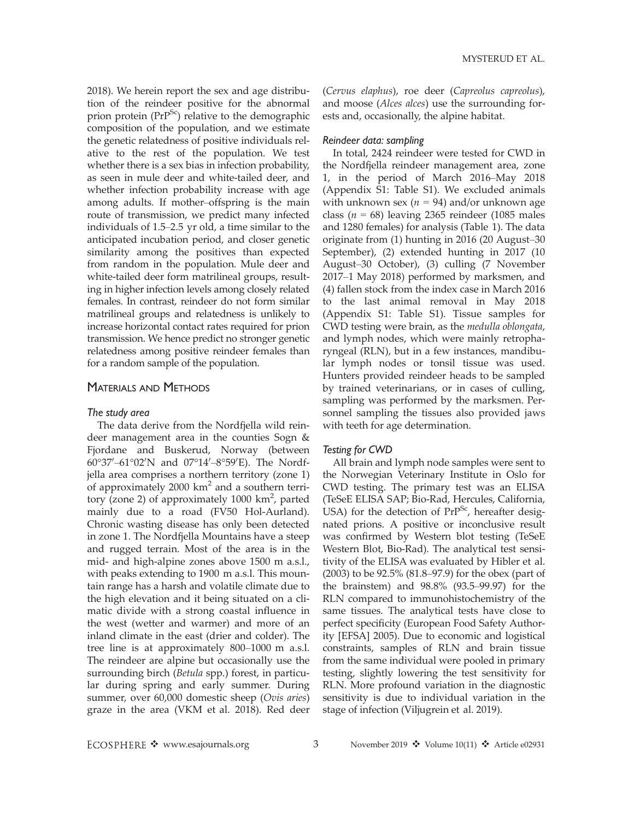2018). We herein report the sex and age distribution of the reindeer positive for the abnormal prion protein  $(PrP^{Sc})$  relative to the demographic composition of the population, and we estimate the genetic relatedness of positive individuals relative to the rest of the population. We test whether there is a sex bias in infection probability, as seen in mule deer and white-tailed deer, and whether infection probability increase with age among adults. If mother–offspring is the main route of transmission, we predict many infected individuals of 1.5–2.5 yr old, a time similar to the anticipated incubation period, and closer genetic similarity among the positives than expected from random in the population. Mule deer and white-tailed deer form matrilineal groups, resulting in higher infection levels among closely related females. In contrast, reindeer do not form similar matrilineal groups and relatedness is unlikely to increase horizontal contact rates required for prion transmission. We hence predict no stronger genetic relatedness among positive reindeer females than for a random sample of the population.

### MATERIALS AND METHODS

### The study area

The data derive from the Nordfjella wild reindeer management area in the counties Sogn & Fjordane and Buskerud, Norway (between 60°37′–61°02′N and 07°14′–8°59′E). The Nordfjella area comprises a northern territory (zone 1) of approximately  $2000 \text{ km}^2$  and a southern territory (zone 2) of approximately 1000 km<sup>2</sup>, parted mainly due to a road (FV50 Hol-Aurland). Chronic wasting disease has only been detected in zone 1. The Nordfjella Mountains have a steep and rugged terrain. Most of the area is in the mid- and high-alpine zones above 1500 m a.s.l., with peaks extending to 1900 m a.s.l. This mountain range has a harsh and volatile climate due to the high elevation and it being situated on a climatic divide with a strong coastal influence in the west (wetter and warmer) and more of an inland climate in the east (drier and colder). The tree line is at approximately 800–1000 m a.s.l. The reindeer are alpine but occasionally use the surrounding birch (Betula spp.) forest, in particular during spring and early summer. During summer, over 60,000 domestic sheep (Ovis aries) graze in the area (VKM et al. 2018). Red deer (Cervus elaphus), roe deer (Capreolus capreolus), and moose (Alces alces) use the surrounding forests and, occasionally, the alpine habitat.

### Reindeer data: sampling

In total, 2424 reindeer were tested for CWD in the Nordfjella reindeer management area, zone 1, in the period of March 2016–May 2018 (Appendix S1: Table S1). We excluded animals with unknown sex ( $n = 94$ ) and/or unknown age class ( $n = 68$ ) leaving 2365 reindeer (1085 males and 1280 females) for analysis (Table 1). The data originate from (1) hunting in 2016 (20 August–30 September), (2) extended hunting in 2017 (10 August–30 October), (3) culling (7 November 2017–1 May 2018) performed by marksmen, and (4) fallen stock from the index case in March 2016 to the last animal removal in May 2018 (Appendix S1: Table S1). Tissue samples for CWD testing were brain, as the medulla oblongata, and lymph nodes, which were mainly retropharyngeal (RLN), but in a few instances, mandibular lymph nodes or tonsil tissue was used. Hunters provided reindeer heads to be sampled by trained veterinarians, or in cases of culling, sampling was performed by the marksmen. Personnel sampling the tissues also provided jaws with teeth for age determination.

### Testing for CWD

All brain and lymph node samples were sent to the Norwegian Veterinary Institute in Oslo for CWD testing. The primary test was an ELISA (TeSeE ELISA SAP; Bio-Rad, Hercules, California, USA) for the detection of  $PrP^{Sc}$ , hereafter designated prions. A positive or inconclusive result was confirmed by Western blot testing (TeSeE Western Blot, Bio-Rad). The analytical test sensitivity of the ELISA was evaluated by Hibler et al. (2003) to be 92.5% (81.8–97.9) for the obex (part of the brainstem) and 98.8% (93.5–99.97) for the RLN compared to immunohistochemistry of the same tissues. The analytical tests have close to perfect specificity (European Food Safety Authority [EFSA] 2005). Due to economic and logistical constraints, samples of RLN and brain tissue from the same individual were pooled in primary testing, slightly lowering the test sensitivity for RLN. More profound variation in the diagnostic sensitivity is due to individual variation in the stage of infection (Viljugrein et al. 2019).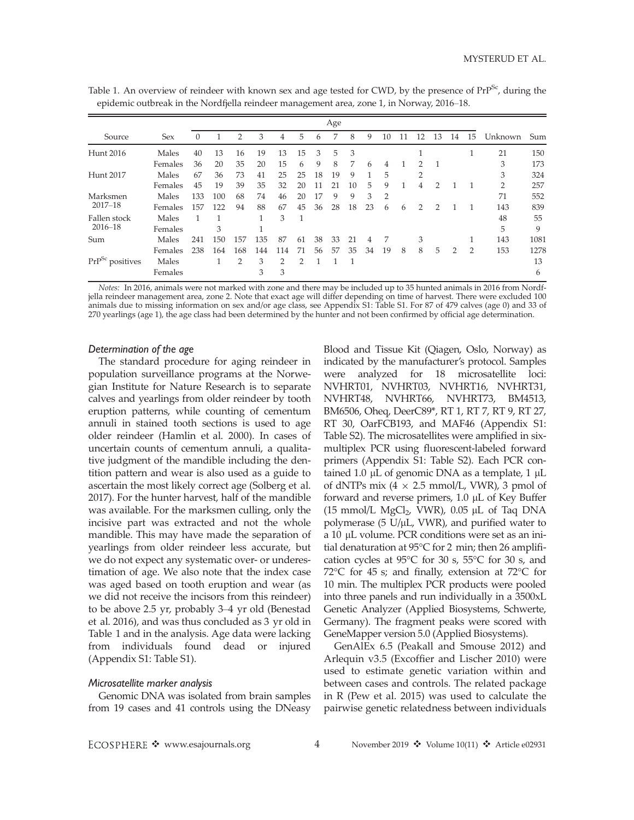|                                               |         |          |     |     |     |     | $\check{ }$   |    |     |    |    |                |    |                |                |                |                |                |      |
|-----------------------------------------------|---------|----------|-----|-----|-----|-----|---------------|----|-----|----|----|----------------|----|----------------|----------------|----------------|----------------|----------------|------|
|                                               |         |          |     |     |     |     |               |    | Age |    |    |                |    |                |                |                |                |                |      |
| Source                                        | Sex     | $\Omega$ |     | 2   | 3   | 4   | 5             | 6  | 7   | 8  | 9  | 10             | 11 | 12             | 13             | 14             | 15             | Unknown        | Sum  |
| Hunt 2016                                     | Males   | 40       | 13  | 16  | 19  | 13  | 15            | 3  | 5   | 3  |    |                |    |                |                |                | T              | 21             | 150  |
|                                               | Females | 36       | 20  | 35  | 20  | 15  | 6             | 9  | 8   | 7  | 6  | 4              |    | $\mathcal{D}$  | $\overline{1}$ |                |                | 3              | 173  |
| Hunt 2017                                     | Males   | 67       | 36  | 73  | 41  | 25  | 25            | 18 | 19  | 9  |    | 5              |    | $\overline{2}$ |                |                |                | 3              | 324  |
|                                               | Females | 45       | 19  | 39  | 35  | 32  | 20            | 11 | 21  | 10 | 5  | 9              | 1  | 4              | 2              |                | 1              | $\overline{2}$ | 257  |
| Marksmen<br>$2017 - 18$                       | Males   | 133      | 100 | 68  | 74  | 46  | 20            | 17 | 9   | 9  | 3  | $\overline{2}$ |    |                |                |                |                | 71             | 552  |
|                                               | Females | 157      | 122 | 94  | 88  | 67  | 45            | 36 | 28  | 18 | 23 | 6              | 6  | 2              | 2              |                |                | 143            | 839  |
| Fallen stock<br>$2016 - 18$                   | Males   |          |     |     | 1   | 3   | 1             |    |     |    |    |                |    |                |                |                |                | 48             | 55   |
|                                               | Females |          | 3   |     |     |     |               |    |     |    |    |                |    |                |                |                |                | 5              | 9    |
| Sum                                           | Males   | 241      | 150 | 157 | 135 | 87  | 61            | 38 | 33  | 21 | 4  | 7              |    | 3              |                |                |                | 143            | 1081 |
|                                               | Females | 238      | 164 | 168 | 144 | 114 | 71            | 56 | 57  | 35 | 34 | 19             | 8  | 8              | 5              | $\overline{2}$ | $\overline{2}$ | 153            | 1278 |
| $\mathrm{Pr}\mathrm{P}^\mathrm{Sc}$ positives | Males   |          |     | 2   | 3   | 2   | $\mathcal{D}$ |    |     |    |    |                |    |                |                |                |                |                | 13   |
|                                               | Females |          |     |     | 3   | 3   |               |    |     |    |    |                |    |                |                |                |                |                | 6    |

Table 1. An overview of reindeer with known sex and age tested for CWD, by the presence of PrP<sup>Sc</sup>, during the epidemic outbreak in the Nordfjella reindeer management area, zone 1, in Norway, 2016–18.

Notes: In 2016, animals were not marked with zone and there may be included up to 35 hunted animals in 2016 from Nordfjella reindeer management area, zone 2. Note that exact age will differ depending on time of harvest. There were excluded 100 animals due to missing information on sex and/or age class, see Appendix S1: Table S1. For 87 of 479 calves (age 0) and 33 of 270 yearlings (age 1), the age class had been determined by the hunter and not been confirmed by official age determination.

#### Determination of the age

The standard procedure for aging reindeer in population surveillance programs at the Norwegian Institute for Nature Research is to separate calves and yearlings from older reindeer by tooth eruption patterns, while counting of cementum annuli in stained tooth sections is used to age older reindeer (Hamlin et al. 2000). In cases of uncertain counts of cementum annuli, a qualitative judgment of the mandible including the dentition pattern and wear is also used as a guide to ascertain the most likely correct age (Solberg et al. 2017). For the hunter harvest, half of the mandible was available. For the marksmen culling, only the incisive part was extracted and not the whole mandible. This may have made the separation of yearlings from older reindeer less accurate, but we do not expect any systematic over- or underestimation of age. We also note that the index case was aged based on tooth eruption and wear (as we did not receive the incisors from this reindeer) to be above 2.5 yr, probably 3–4 yr old (Benestad et al. 2016), and was thus concluded as 3 yr old in Table 1 and in the analysis. Age data were lacking from individuals found dead or injured (Appendix S1: Table S1).

### Microsatellite marker analysis

Genomic DNA was isolated from brain samples from 19 cases and 41 controls using the DNeasy

Blood and Tissue Kit (Qiagen, Oslo, Norway) as indicated by the manufacturer's protocol. Samples were analyzed for 18 microsatellite loci: NVHRT01, NVHRT03, NVHRT16, NVHRT31, NVHRT48, NVHRT66, NVHRT73, BM4513, BM6506, Oheq, DeerC89\*, RT 1, RT 7, RT 9, RT 27, RT 30, OarFCB193, and MAF46 (Appendix S1: Table S2). The microsatellites were amplified in sixmultiplex PCR using fluorescent-labeled forward primers (Appendix S1: Table S2). Each PCR contained 1.0  $\mu$ L of genomic DNA as a template, 1  $\mu$ L of dNTPs mix  $(4 \times 2.5 \text{ mmol/L}, \text{VWR})$ , 3 pmol of forward and reverse primers,  $1.0 \mu L$  of Key Buffer (15 mmol/L MgCl<sub>2</sub>, VWR),  $0.05 \mu L$  of Taq DNA polymerase (5 U/µL, VWR), and purified water to a 10 µL volume. PCR conditions were set as an initial denaturation at 95°C for 2 min; then 26 amplification cycles at 95°C for 30 s, 55°C for 30 s, and 72 $\degree$ C for 45 s; and finally, extension at 72 $\degree$ C for 10 min. The multiplex PCR products were pooled into three panels and run individually in a 3500xL Genetic Analyzer (Applied Biosystems, Schwerte, Germany). The fragment peaks were scored with GeneMapper version 5.0 (Applied Biosystems).

GenAlEx 6.5 (Peakall and Smouse 2012) and Arlequin v3.5 (Excoffier and Lischer 2010) were used to estimate genetic variation within and between cases and controls. The related package in R (Pew et al. 2015) was used to calculate the pairwise genetic relatedness between individuals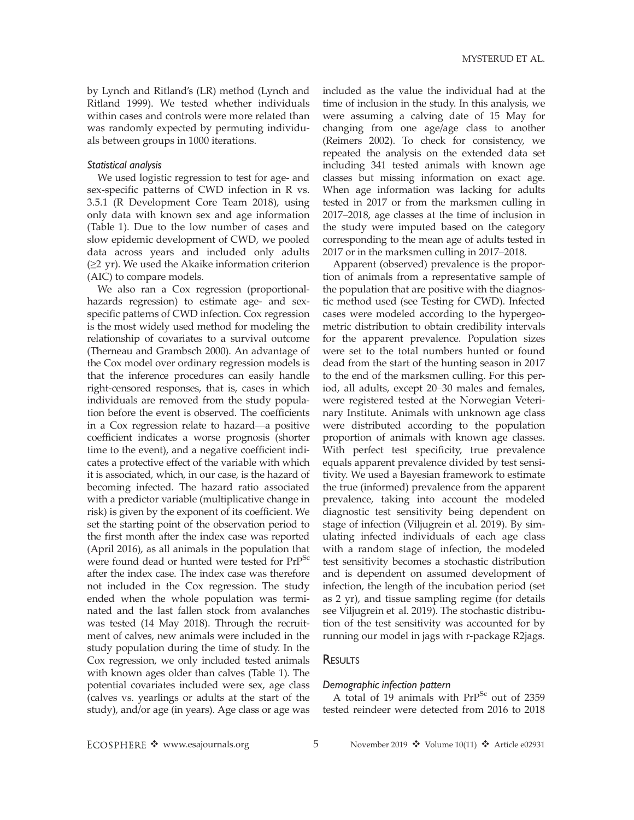by Lynch and Ritland's (LR) method (Lynch and Ritland 1999). We tested whether individuals within cases and controls were more related than was randomly expected by permuting individuals between groups in 1000 iterations.

### Statistical analysis

We used logistic regression to test for age- and sex-specific patterns of CWD infection in R vs. 3.5.1 (R Development Core Team 2018), using only data with known sex and age information (Table 1). Due to the low number of cases and slow epidemic development of CWD, we pooled data across years and included only adults  $(\geq 2 \text{ yr})$ . We used the Akaike information criterion (AIC) to compare models.

We also ran a Cox regression (proportionalhazards regression) to estimate age- and sexspecific patterns of CWD infection. Cox regression is the most widely used method for modeling the relationship of covariates to a survival outcome (Therneau and Grambsch 2000). An advantage of the Cox model over ordinary regression models is that the inference procedures can easily handle right-censored responses, that is, cases in which individuals are removed from the study population before the event is observed. The coefficients in a Cox regression relate to hazard—a positive coefficient indicates a worse prognosis (shorter time to the event), and a negative coefficient indicates a protective effect of the variable with which it is associated, which, in our case, is the hazard of becoming infected. The hazard ratio associated with a predictor variable (multiplicative change in risk) is given by the exponent of its coefficient. We set the starting point of the observation period to the first month after the index case was reported (April 2016), as all animals in the population that were found dead or hunted were tested for PrP<sup>Sc</sup> after the index case. The index case was therefore not included in the Cox regression. The study ended when the whole population was terminated and the last fallen stock from avalanches was tested (14 May 2018). Through the recruitment of calves, new animals were included in the study population during the time of study. In the Cox regression, we only included tested animals with known ages older than calves (Table 1). The potential covariates included were sex, age class (calves vs. yearlings or adults at the start of the study), and/or age (in years). Age class or age was included as the value the individual had at the time of inclusion in the study. In this analysis, we were assuming a calving date of 15 May for changing from one age/age class to another (Reimers 2002). To check for consistency, we repeated the analysis on the extended data set including 341 tested animals with known age classes but missing information on exact age. When age information was lacking for adults tested in 2017 or from the marksmen culling in 2017–2018, age classes at the time of inclusion in the study were imputed based on the category corresponding to the mean age of adults tested in 2017 or in the marksmen culling in 2017–2018.

Apparent (observed) prevalence is the proportion of animals from a representative sample of the population that are positive with the diagnostic method used (see Testing for CWD). Infected cases were modeled according to the hypergeometric distribution to obtain credibility intervals for the apparent prevalence. Population sizes were set to the total numbers hunted or found dead from the start of the hunting season in 2017 to the end of the marksmen culling. For this period, all adults, except 20–30 males and females, were registered tested at the Norwegian Veterinary Institute. Animals with unknown age class were distributed according to the population proportion of animals with known age classes. With perfect test specificity, true prevalence equals apparent prevalence divided by test sensitivity. We used a Bayesian framework to estimate the true (informed) prevalence from the apparent prevalence, taking into account the modeled diagnostic test sensitivity being dependent on stage of infection (Viljugrein et al. 2019). By simulating infected individuals of each age class with a random stage of infection, the modeled test sensitivity becomes a stochastic distribution and is dependent on assumed development of infection, the length of the incubation period (set as 2 yr), and tissue sampling regime (for details see Viljugrein et al. 2019). The stochastic distribution of the test sensitivity was accounted for by running our model in jags with r-package R2jags.

### **RESULTS**

#### Demographic infection pattern

A total of 19 animals with PrP<sup>Sc</sup> out of 2359 tested reindeer were detected from 2016 to 2018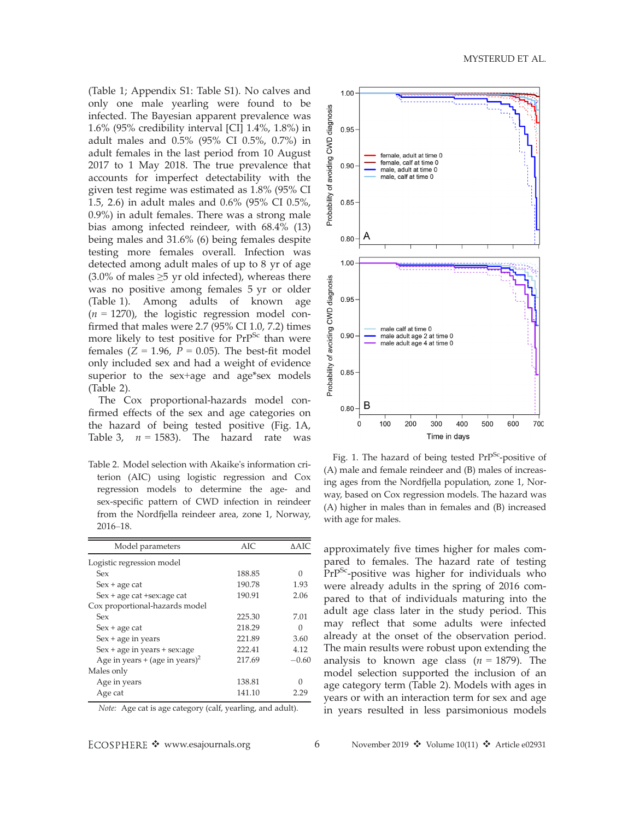(Table 1; Appendix S1: Table S1). No calves and only one male yearling were found to be infected. The Bayesian apparent prevalence was 1.6% (95% credibility interval [CI] 1.4%, 1.8%) in adult males and 0.5% (95% CI 0.5%, 0.7%) in adult females in the last period from 10 August 2017 to 1 May 2018. The true prevalence that accounts for imperfect detectability with the given test regime was estimated as 1.8% (95% CI 1.5, 2.6) in adult males and 0.6% (95% CI 0.5%, 0.9%) in adult females. There was a strong male bias among infected reindeer, with 68.4% (13) being males and 31.6% (6) being females despite testing more females overall. Infection was detected among adult males of up to 8 yr of age (3.0% of males  $\geq$ 5 yr old infected), whereas there was no positive among females 5 yr or older (Table 1). Among adults of known age  $(n = 1270)$ , the logistic regression model confirmed that males were 2.7 (95% CI 1.0, 7.2) times more likely to test positive for PrP<sup>Sc</sup> than were females ( $Z = 1.96$ ,  $P = 0.05$ ). The best-fit model only included sex and had a weight of evidence superior to the sex+age and age\*sex models (Table 2).

The Cox proportional-hazards model confirmed effects of the sex and age categories on the hazard of being tested positive (Fig. 1A, Table 3,  $n = 1583$ ). The hazard rate was

Table 2. Model selection with Akaike's information criterion (AIC) using logistic regression and Cox regression models to determine the age- and sex-specific pattern of CWD infection in reindeer from the Nordfjella reindeer area, zone 1, Norway, 2016–18.

| Model parameters                           | <b>AIC</b> | AAIC.            |
|--------------------------------------------|------------|------------------|
| Logistic regression model                  |            |                  |
| Sex                                        | 188.85     | Ω                |
| $Sex + age$ cat                            | 190.78     | 1.93             |
| $Sex + age cat + sex: age cat$             | 190.91     | 2.06             |
| Cox proportional-hazards model             |            |                  |
| Sex                                        | 225.30     | 7.01             |
| $Sex + age$ cat                            | 218.29     | $\left( \right)$ |
| $Sex + age$ in years                       | 221.89     | 3.60             |
| $Sex + age$ in years $+ sex: age$          | 222.41     | 4.12             |
| Age in years + (age in years) <sup>2</sup> | 217.69     | $-0.60$          |
| Males only                                 |            |                  |
| Age in years                               | 138.81     |                  |
| Age cat                                    | 141.10     | 2.29             |

Note: Age cat is age category (calf, yearling, and adult).



Fig. 1. The hazard of being tested  $Pr^{Sc}$ -positive of (A) male and female reindeer and (B) males of increasing ages from the Nordfjella population, zone 1, Norway, based on Cox regression models. The hazard was (A) higher in males than in females and (B) increased with age for males.

approximately five times higher for males compared to females. The hazard rate of testing  $PrP^{Sc}$ -positive was higher for individuals who were already adults in the spring of 2016 compared to that of individuals maturing into the adult age class later in the study period. This may reflect that some adults were infected already at the onset of the observation period. The main results were robust upon extending the analysis to known age class ( $n = 1879$ ). The model selection supported the inclusion of an age category term (Table 2). Models with ages in years or with an interaction term for sex and age in years resulted in less parsimonious models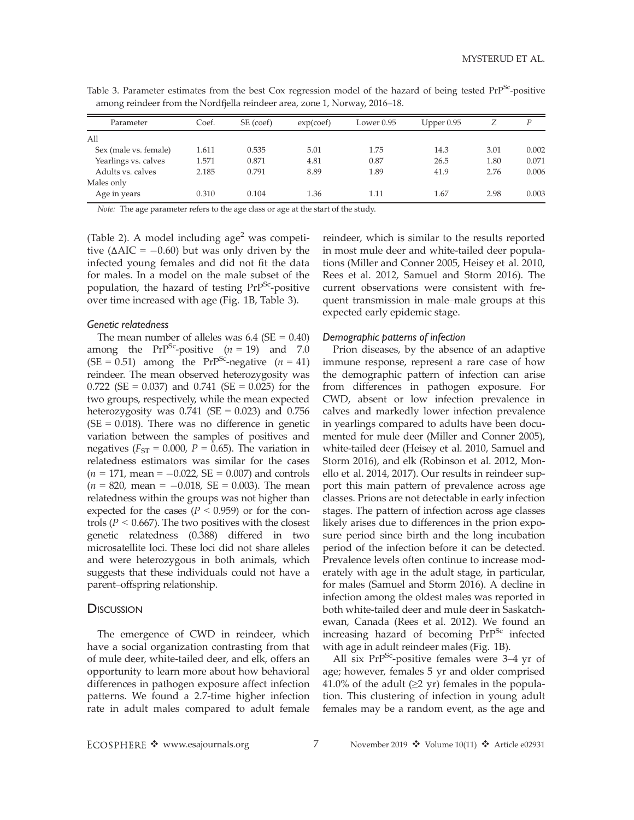| $\sim$                |       |           |           |              |              |      |       |
|-----------------------|-------|-----------|-----------|--------------|--------------|------|-------|
| Parameter             | Coef. | SE (coef) | exp(coef) | Lower $0.95$ | Upper $0.95$ |      | P     |
| All                   |       |           |           |              |              |      |       |
| Sex (male vs. female) | 1.611 | 0.535     | 5.01      | 1.75         | 14.3         | 3.01 | 0.002 |
| Yearlings vs. calves  | 1.571 | 0.871     | 4.81      | 0.87         | 26.5         | 1.80 | 0.071 |
| Adults vs. calves     | 2.185 | 0.791     | 8.89      | 1.89         | 41.9         | 2.76 | 0.006 |
| Males only            |       |           |           |              |              |      |       |
| Age in years          | 0.310 | 0.104     | 1.36      | 1.11         | 1.67         | 2.98 | 0.003 |

Table 3. Parameter estimates from the best Cox regression model of the hazard of being tested PrP<sup>Sc</sup>-positive among reindeer from the Nordfjella reindeer area, zone 1, Norway, 2016–18.

Note: The age parameter refers to the age class or age at the start of the study.

(Table 2). A model including  $age<sup>2</sup>$  was competitive  $(\Delta AIC = -0.60)$  but was only driven by the infected young females and did not fit the data for males. In a model on the male subset of the population, the hazard of testing  $PrP^{Sc}$ -positive over time increased with age (Fig. 1B, Table 3).

### Genetic relatedness

The mean number of alleles was  $6.4$  (SE = 0.40) among the PrP<sup>Sc</sup>-positive  $(n = 19)$  and 7.0 (SE = 0.51) among the PrP<sup>Sc</sup>-negative  $(n = 41)$ reindeer. The mean observed heterozygosity was 0.722 (SE = 0.037) and 0.741 (SE = 0.025) for the two groups, respectively, while the mean expected heterozygosity was  $0.741$  (SE = 0.023) and 0.756  $(SE = 0.018)$ . There was no difference in genetic variation between the samples of positives and negatives ( $F_{ST}$  = 0.000,  $P$  = 0.65). The variation in relatedness estimators was similar for the cases  $(n = 171, \text{ mean} = -0.022, \text{ SE} = 0.007) \text{ and controls}$  $(n = 820, \text{ mean} = -0.018, \text{ SE} = 0.003).$  The mean relatedness within the groups was not higher than expected for the cases ( $P < 0.959$ ) or for the controls ( $P < 0.667$ ). The two positives with the closest genetic relatedness (0.388) differed in two microsatellite loci. These loci did not share alleles and were heterozygous in both animals, which suggests that these individuals could not have a parent–offspring relationship.

### **DISCUSSION**

The emergence of CWD in reindeer, which have a social organization contrasting from that of mule deer, white-tailed deer, and elk, offers an opportunity to learn more about how behavioral differences in pathogen exposure affect infection patterns. We found a 2.7-time higher infection rate in adult males compared to adult female reindeer, which is similar to the results reported in most mule deer and white-tailed deer populations (Miller and Conner 2005, Heisey et al. 2010, Rees et al. 2012, Samuel and Storm 2016). The current observations were consistent with frequent transmission in male–male groups at this expected early epidemic stage.

### Demographic patterns of infection

Prion diseases, by the absence of an adaptive immune response, represent a rare case of how the demographic pattern of infection can arise from differences in pathogen exposure. For CWD, absent or low infection prevalence in calves and markedly lower infection prevalence in yearlings compared to adults have been documented for mule deer (Miller and Conner 2005), white-tailed deer (Heisey et al. 2010, Samuel and Storm 2016), and elk (Robinson et al. 2012, Monello et al. 2014, 2017). Our results in reindeer support this main pattern of prevalence across age classes. Prions are not detectable in early infection stages. The pattern of infection across age classes likely arises due to differences in the prion exposure period since birth and the long incubation period of the infection before it can be detected. Prevalence levels often continue to increase moderately with age in the adult stage, in particular, for males (Samuel and Storm 2016). A decline in infection among the oldest males was reported in both white-tailed deer and mule deer in Saskatchewan, Canada (Rees et al. 2012). We found an increasing hazard of becoming PrP<sup>Sc</sup> infected with age in adult reindeer males (Fig. 1B).

All six  $PrP^{Sc}$ -positive females were 3–4 yr of age; however, females 5 yr and older comprised 41.0% of the adult ( $\geq$ 2 yr) females in the population. This clustering of infection in young adult females may be a random event, as the age and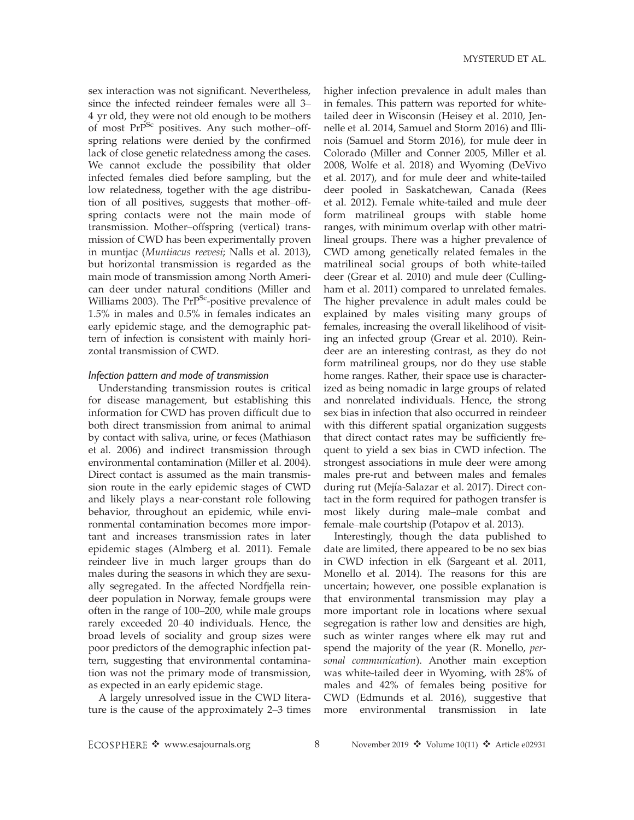sex interaction was not significant. Nevertheless, since the infected reindeer females were all 3– 4 yr old, they were not old enough to be mothers of most  $PrP^{Sc}$  positives. Any such mother–offspring relations were denied by the confirmed lack of close genetic relatedness among the cases. We cannot exclude the possibility that older infected females died before sampling, but the low relatedness, together with the age distribution of all positives, suggests that mother–offspring contacts were not the main mode of transmission. Mother–offspring (vertical) transmission of CWD has been experimentally proven in muntjac (Muntiacus reevesi; Nalls et al. 2013), but horizontal transmission is regarded as the main mode of transmission among North American deer under natural conditions (Miller and Williams 2003). The PrP<sup>Sc</sup>-positive prevalence of 1.5% in males and 0.5% in females indicates an early epidemic stage, and the demographic pattern of infection is consistent with mainly horizontal transmission of CWD.

### Infection pattern and mode of transmission

Understanding transmission routes is critical for disease management, but establishing this information for CWD has proven difficult due to both direct transmission from animal to animal by contact with saliva, urine, or feces (Mathiason et al. 2006) and indirect transmission through environmental contamination (Miller et al. 2004). Direct contact is assumed as the main transmission route in the early epidemic stages of CWD and likely plays a near-constant role following behavior, throughout an epidemic, while environmental contamination becomes more important and increases transmission rates in later epidemic stages (Almberg et al. 2011). Female reindeer live in much larger groups than do males during the seasons in which they are sexually segregated. In the affected Nordfjella reindeer population in Norway, female groups were often in the range of 100–200, while male groups rarely exceeded 20–40 individuals. Hence, the broad levels of sociality and group sizes were poor predictors of the demographic infection pattern, suggesting that environmental contamination was not the primary mode of transmission, as expected in an early epidemic stage.

A largely unresolved issue in the CWD literature is the cause of the approximately 2–3 times higher infection prevalence in adult males than in females. This pattern was reported for whitetailed deer in Wisconsin (Heisey et al. 2010, Jennelle et al. 2014, Samuel and Storm 2016) and Illinois (Samuel and Storm 2016), for mule deer in Colorado (Miller and Conner 2005, Miller et al. 2008, Wolfe et al. 2018) and Wyoming (DeVivo et al. 2017), and for mule deer and white-tailed deer pooled in Saskatchewan, Canada (Rees et al. 2012). Female white-tailed and mule deer form matrilineal groups with stable home ranges, with minimum overlap with other matrilineal groups. There was a higher prevalence of CWD among genetically related females in the matrilineal social groups of both white-tailed deer (Grear et al. 2010) and mule deer (Cullingham et al. 2011) compared to unrelated females. The higher prevalence in adult males could be explained by males visiting many groups of females, increasing the overall likelihood of visiting an infected group (Grear et al. 2010). Reindeer are an interesting contrast, as they do not form matrilineal groups, nor do they use stable home ranges. Rather, their space use is characterized as being nomadic in large groups of related and nonrelated individuals. Hence, the strong sex bias in infection that also occurred in reindeer with this different spatial organization suggests that direct contact rates may be sufficiently frequent to yield a sex bias in CWD infection. The strongest associations in mule deer were among males pre-rut and between males and females during rut (Mejía-Salazar et al. 2017). Direct contact in the form required for pathogen transfer is most likely during male–male combat and female–male courtship (Potapov et al. 2013).

Interestingly, though the data published to date are limited, there appeared to be no sex bias in CWD infection in elk (Sargeant et al. 2011, Monello et al. 2014). The reasons for this are uncertain; however, one possible explanation is that environmental transmission may play a more important role in locations where sexual segregation is rather low and densities are high, such as winter ranges where elk may rut and spend the majority of the year (R. Monello, personal communication). Another main exception was white-tailed deer in Wyoming, with 28% of males and 42% of females being positive for CWD (Edmunds et al. 2016), suggestive that more environmental transmission in late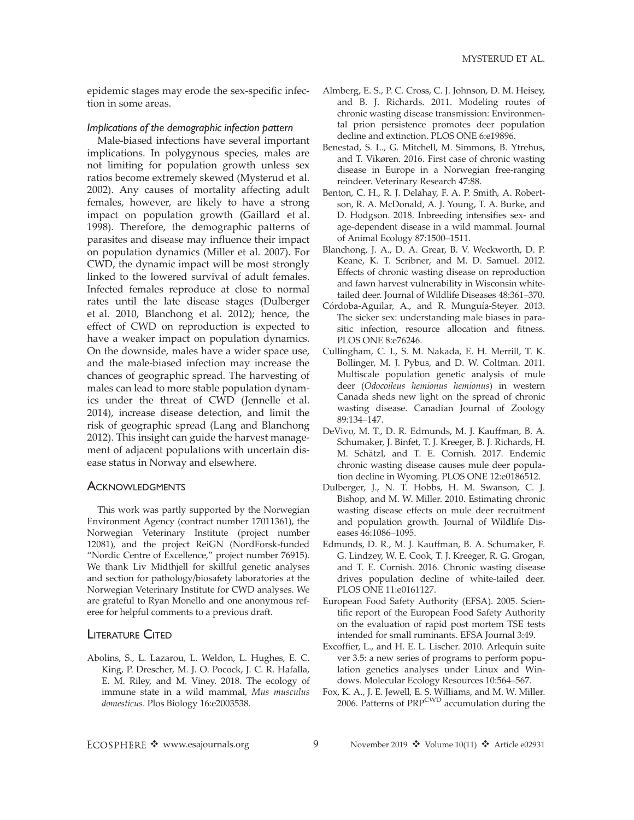epidemic stages may erode the sex-specific infection in some areas.

Implications of the demographic infection pattern

Male-biased infections have several important implications. In polygynous species, males are not limiting for population growth unless sex ratios become extremely skewed (Mysterud et al. 2002). Any causes of mortality affecting adult females, however, are likely to have a strong impact on population growth (Gaillard et al. 1998). Therefore, the demographic patterns of parasites and disease may influence their impact on population dynamics (Miller et al. 2007). For CWD, the dynamic impact will be most strongly linked to the lowered survival of adult females. Infected females reproduce at close to normal rates until the late disease stages (Dulberger et al. 2010, Blanchong et al. 2012); hence, the effect of CWD on reproduction is expected to have a weaker impact on population dynamics. On the downside, males have a wider space use, and the male-biased infection may increase the chances of geographic spread. The harvesting of males can lead to more stable population dynamics under the threat of CWD (Jennelle et al. 2014), increase disease detection, and limit the risk of geographic spread (Lang and Blanchong 2012). This insight can guide the harvest management of adjacent populations with uncertain disease status in Norway and elsewhere.

### **ACKNOWLEDGMENTS**

This work was partly supported by the Norwegian Environment Agency (contract number 17011361), the Norwegian Veterinary Institute (project number 12081), and the project ReiGN (NordForsk-funded "Nordic Centre of Excellence," project number 76915). We thank Liv Midthjell for skillful genetic analyses and section for pathology/biosafety laboratories at the Norwegian Veterinary Institute for CWD analyses. We are grateful to Ryan Monello and one anonymous referee for helpful comments to a previous draft.

### LITERATURE CITED

Abolins, S., L. Lazarou, L. Weldon, L. Hughes, E. C. King, P. Drescher, M. J. O. Pocock, J. C. R. Hafalla, E. M. Riley, and M. Viney. 2018. The ecology of immune state in a wild mammal, Mus musculus domesticus. Plos Biology 16:e2003538.

- Almberg, E. S., P. C. Cross, C. J. Johnson, D. M. Heisey, and B. J. Richards. 2011. Modeling routes of chronic wasting disease transmission: Environmental prion persistence promotes deer population decline and extinction. PLOS ONE 6:e19896.
- Benestad, S. L., G. Mitchell, M. Simmons, B. Ytrehus, and T. Vikøren. 2016. First case of chronic wasting disease in Europe in a Norwegian free-ranging reindeer. Veterinary Research 47:88.
- Benton, C. H., R. J. Delahay, F. A. P. Smith, A. Robertson, R. A. McDonald, A. J. Young, T. A. Burke, and D. Hodgson. 2018. Inbreeding intensifies sex- and age-dependent disease in a wild mammal. Journal of Animal Ecology 87:1500–1511.
- Blanchong, J. A., D. A. Grear, B. V. Weckworth, D. P. Keane, K. T. Scribner, and M. D. Samuel. 2012. Effects of chronic wasting disease on reproduction and fawn harvest vulnerability in Wisconsin whitetailed deer. Journal of Wildlife Diseases 48:361–370.
- Córdoba-Aguilar, A., and R. Munguía-Steyer. 2013. The sicker sex: understanding male biases in parasitic infection, resource allocation and fitness. PLOS ONE 8:e76246.
- Cullingham, C. I., S. M. Nakada, E. H. Merrill, T. K. Bollinger, M. J. Pybus, and D. W. Coltman. 2011. Multiscale population genetic analysis of mule deer (Odocoileus hemionus hemionus) in western Canada sheds new light on the spread of chronic wasting disease. Canadian Journal of Zoology 89:134–147.
- DeVivo, M. T., D. R. Edmunds, M. J. Kauffman, B. A. Schumaker, J. Binfet, T. J. Kreeger, B. J. Richards, H. M. Schätzl, and T. E. Cornish. 2017. Endemic chronic wasting disease causes mule deer population decline in Wyoming. PLOS ONE 12:e0186512.
- Dulberger, J., N. T. Hobbs, H. M. Swanson, C. J. Bishop, and M. W. Miller. 2010. Estimating chronic wasting disease effects on mule deer recruitment and population growth. Journal of Wildlife Diseases 46:1086–1095.
- Edmunds, D. R., M. J. Kauffman, B. A. Schumaker, F. G. Lindzey, W. E. Cook, T. J. Kreeger, R. G. Grogan, and T. E. Cornish. 2016. Chronic wasting disease drives population decline of white-tailed deer. PLOS ONE 11:e0161127.
- European Food Safety Authority (EFSA). 2005. Scientific report of the European Food Safety Authority on the evaluation of rapid post mortem TSE tests intended for small ruminants. EFSA Journal 3:49.
- Excoffier, L., and H. E. L. Lischer. 2010. Arlequin suite ver 3.5: a new series of programs to perform population genetics analyses under Linux and Windows. Molecular Ecology Resources 10:564–567.
- Fox, K. A., J. E. Jewell, E. S. Williams, and M. W. Miller. 2006. Patterns of PRP<sup>CWD</sup> accumulation during the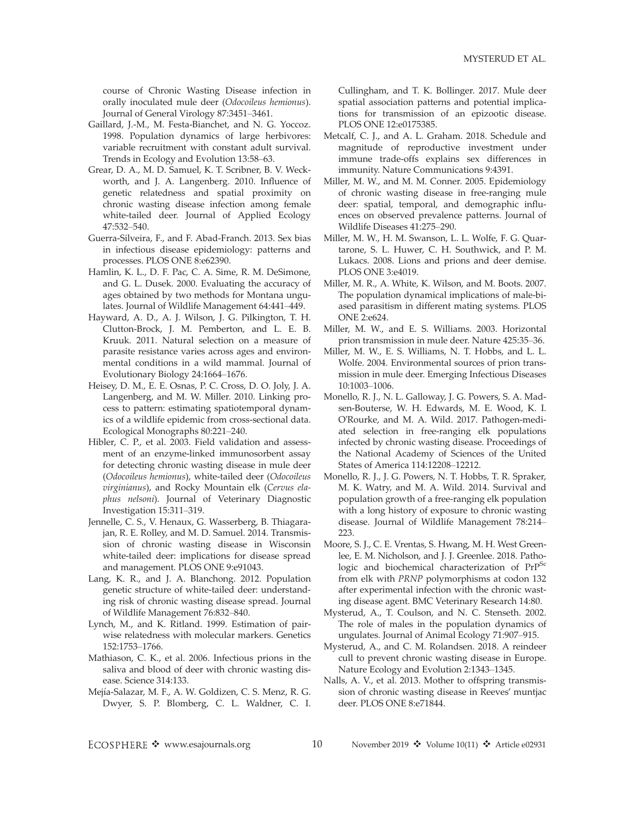course of Chronic Wasting Disease infection in orally inoculated mule deer (Odocoileus hemionus). Journal of General Virology 87:3451–3461.

- Gaillard, J.-M., M. Festa-Bianchet, and N. G. Yoccoz. 1998. Population dynamics of large herbivores: variable recruitment with constant adult survival. Trends in Ecology and Evolution 13:58–63.
- Grear, D. A., M. D. Samuel, K. T. Scribner, B. V. Weckworth, and J. A. Langenberg. 2010. Influence of genetic relatedness and spatial proximity on chronic wasting disease infection among female white-tailed deer. Journal of Applied Ecology 47:532–540.
- Guerra-Silveira, F., and F. Abad-Franch. 2013. Sex bias in infectious disease epidemiology: patterns and processes. PLOS ONE 8:e62390.
- Hamlin, K. L., D. F. Pac, C. A. Sime, R. M. DeSimone, and G. L. Dusek. 2000. Evaluating the accuracy of ages obtained by two methods for Montana ungulates. Journal of Wildlife Management 64:441–449.
- Hayward, A. D., A. J. Wilson, J. G. Pilkington, T. H. Clutton-Brock, J. M. Pemberton, and L. E. B. Kruuk. 2011. Natural selection on a measure of parasite resistance varies across ages and environmental conditions in a wild mammal. Journal of Evolutionary Biology 24:1664–1676.
- Heisey, D. M., E. E. Osnas, P. C. Cross, D. O. Joly, J. A. Langenberg, and M. W. Miller. 2010. Linking process to pattern: estimating spatiotemporal dynamics of a wildlife epidemic from cross-sectional data. Ecological Monographs 80:221–240.
- Hibler, C. P., et al. 2003. Field validation and assessment of an enzyme-linked immunosorbent assay for detecting chronic wasting disease in mule deer (Odocoileus hemionus), white-tailed deer (Odocoileus virginianus), and Rocky Mountain elk (Cervus elaphus nelsoni). Journal of Veterinary Diagnostic Investigation 15:311–319.
- Jennelle, C. S., V. Henaux, G. Wasserberg, B. Thiagarajan, R. E. Rolley, and M. D. Samuel. 2014. Transmission of chronic wasting disease in Wisconsin white-tailed deer: implications for disease spread and management. PLOS ONE 9:e91043.
- Lang, K. R., and J. A. Blanchong. 2012. Population genetic structure of white-tailed deer: understanding risk of chronic wasting disease spread. Journal of Wildlife Management 76:832–840.
- Lynch, M., and K. Ritland. 1999. Estimation of pairwise relatedness with molecular markers. Genetics 152:1753–1766.
- Mathiason, C. K., et al. 2006. Infectious prions in the saliva and blood of deer with chronic wasting disease. Science 314:133.
- Mejía-Salazar, M. F., A. W. Goldizen, C. S. Menz, R. G. Dwyer, S. P. Blomberg, C. L. Waldner, C. I.

Cullingham, and T. K. Bollinger. 2017. Mule deer spatial association patterns and potential implications for transmission of an epizootic disease. PLOS ONE 12:e0175385.

- Metcalf, C. J., and A. L. Graham. 2018. Schedule and magnitude of reproductive investment under immune trade-offs explains sex differences in immunity. Nature Communications 9:4391.
- Miller, M. W., and M. M. Conner. 2005. Epidemiology of chronic wasting disease in free-ranging mule deer: spatial, temporal, and demographic influences on observed prevalence patterns. Journal of Wildlife Diseases 41:275–290.
- Miller, M. W., H. M. Swanson, L. L. Wolfe, F. G. Quartarone, S. L. Huwer, C. H. Southwick, and P. M. Lukacs. 2008. Lions and prions and deer demise. PLOS ONE 3:e4019.
- Miller, M. R., A. White, K. Wilson, and M. Boots. 2007. The population dynamical implications of male-biased parasitism in different mating systems. PLOS ONE 2:e624.
- Miller, M. W., and E. S. Williams. 2003. Horizontal prion transmission in mule deer. Nature 425:35–36.
- Miller, M. W., E. S. Williams, N. T. Hobbs, and L. L. Wolfe. 2004. Environmental sources of prion transmission in mule deer. Emerging Infectious Diseases 10:1003–1006.
- Monello, R. J., N. L. Galloway, J. G. Powers, S. A. Madsen-Bouterse, W. H. Edwards, M. E. Wood, K. I. O'Rourke, and M. A. Wild. 2017. Pathogen-mediated selection in free-ranging elk populations infected by chronic wasting disease. Proceedings of the National Academy of Sciences of the United States of America 114:12208–12212.
- Monello, R. J., J. G. Powers, N. T. Hobbs, T. R. Spraker, M. K. Watry, and M. A. Wild. 2014. Survival and population growth of a free-ranging elk population with a long history of exposure to chronic wasting disease. Journal of Wildlife Management 78:214– 223.
- Moore, S. J., C. E. Vrentas, S. Hwang, M. H. West Greenlee, E. M. Nicholson, and J. J. Greenlee. 2018. Pathologic and biochemical characterization of PrP<sup>Sc</sup> from elk with PRNP polymorphisms at codon 132 after experimental infection with the chronic wasting disease agent. BMC Veterinary Research 14:80.
- Mysterud, A., T. Coulson, and N. C. Stenseth. 2002. The role of males in the population dynamics of ungulates. Journal of Animal Ecology 71:907–915.
- Mysterud, A., and C. M. Rolandsen. 2018. A reindeer cull to prevent chronic wasting disease in Europe. Nature Ecology and Evolution 2:1343–1345.
- Nalls, A. V., et al. 2013. Mother to offspring transmission of chronic wasting disease in Reeves' muntjac deer. PLOS ONE 8:e71844.

ECOSPHERE ❖ www.esajournals.org 10 November 2019 ❖ Volume 10(11) ❖ Article e02931